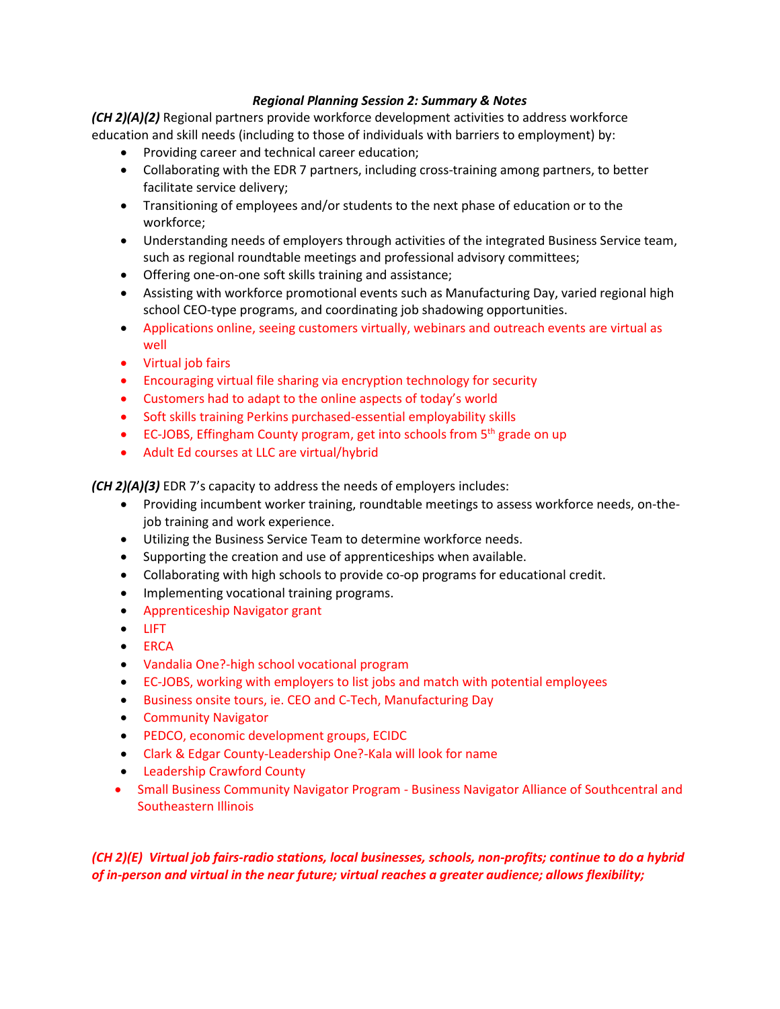### *Regional Planning Session 2: Summary & Notes*

*(CH 2)(A)(2)* Regional partners provide workforce development activities to address workforce education and skill needs (including to those of individuals with barriers to employment) by:

- Providing career and technical career education;
- Collaborating with the EDR 7 partners, including cross-training among partners, to better facilitate service delivery;
- Transitioning of employees and/or students to the next phase of education or to the workforce;
- Understanding needs of employers through activities of the integrated Business Service team, such as regional roundtable meetings and professional advisory committees;
- Offering one-on-one soft skills training and assistance;
- Assisting with workforce promotional events such as Manufacturing Day, varied regional high school CEO-type programs, and coordinating job shadowing opportunities.
- Applications online, seeing customers virtually, webinars and outreach events are virtual as well
- Virtual job fairs
- Encouraging virtual file sharing via encryption technology for security
- Customers had to adapt to the online aspects of today's world
- Soft skills training Perkins purchased-essential employability skills
- EC-JOBS, Effingham County program, get into schools from 5<sup>th</sup> grade on up
- Adult Ed courses at LLC are virtual/hybrid

*(CH 2)(A)(3)* EDR 7's capacity to address the needs of employers includes:

- Providing incumbent worker training, roundtable meetings to assess workforce needs, on-thejob training and work experience.
- Utilizing the Business Service Team to determine workforce needs.
- Supporting the creation and use of apprenticeships when available.
- Collaborating with high schools to provide co-op programs for educational credit.
- Implementing vocational training programs.
- Apprenticeship Navigator grant
- LIFT
- ERCA
- Vandalia One?-high school vocational program
- EC-JOBS, working with employers to list jobs and match with potential employees
- Business onsite tours, ie. CEO and C-Tech, Manufacturing Day
- Community Navigator
- PEDCO, economic development groups, ECIDC
- Clark & Edgar County-Leadership One?-Kala will look for name
- Leadership Crawford County
- Small Business Community Navigator Program Business Navigator Alliance of Southcentral and Southeastern Illinois

*(CH 2)(E) Virtual job fairs-radio stations, local businesses, schools, non-profits; continue to do a hybrid of in-person and virtual in the near future; virtual reaches a greater audience; allows flexibility;*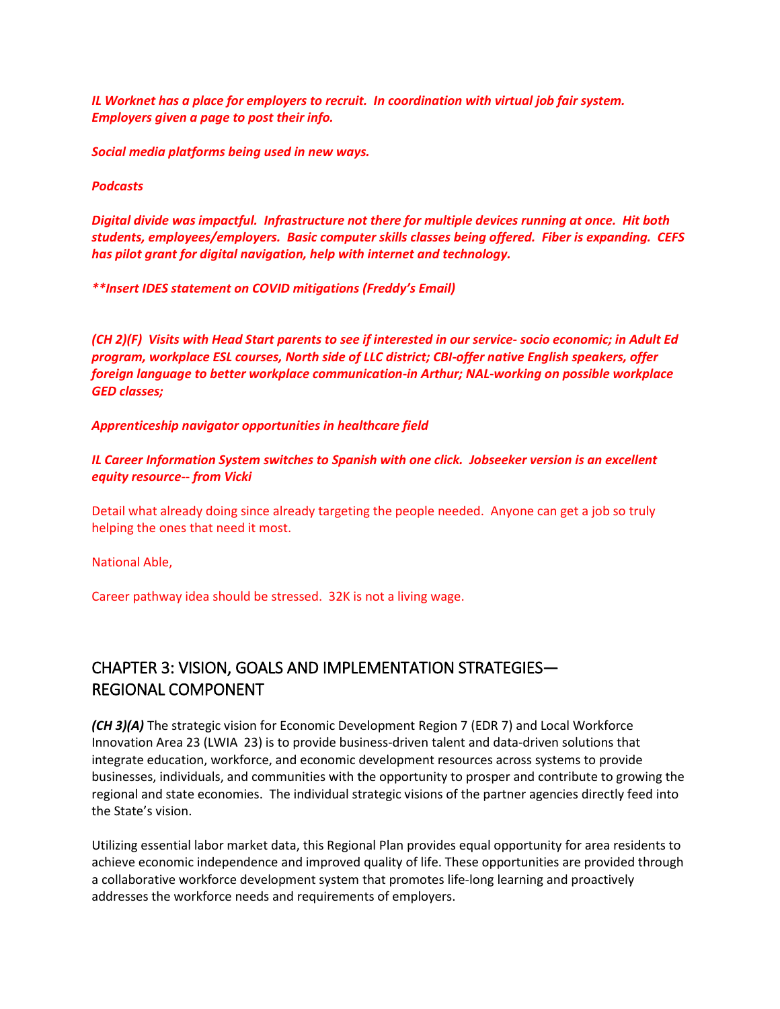*IL Worknet has a place for employers to recruit. In coordination with virtual job fair system. Employers given a page to post their info.*

*Social media platforms being used in new ways.*

*Podcasts*

*Digital divide was impactful. Infrastructure not there for multiple devices running at once. Hit both students, employees/employers. Basic computer skills classes being offered. Fiber is expanding. CEFS has pilot grant for digital navigation, help with internet and technology.* 

*\*\*Insert IDES statement on COVID mitigations (Freddy's Email)*

*(CH 2)(F) Visits with Head Start parents to see if interested in our service- socio economic; in Adult Ed program, workplace ESL courses, North side of LLC district; CBI-offer native English speakers, offer foreign language to better workplace communication-in Arthur; NAL-working on possible workplace GED classes;* 

#### *Apprenticeship navigator opportunities in healthcare field*

*IL Career Information System switches to Spanish with one click. Jobseeker version is an excellent equity resource-- from Vicki*

Detail what already doing since already targeting the people needed. Anyone can get a job so truly helping the ones that need it most.

National Able,

Career pathway idea should be stressed. 32K is not a living wage.

# CHAPTER 3: VISION, GOALS AND IMPLEMENTATION STRATEGIES— REGIONAL COMPONENT

*(CH 3)(A)* The strategic vision for Economic Development Region 7 (EDR 7) and Local Workforce Innovation Area 23 (LWIA 23) is to provide business-driven talent and data-driven solutions that integrate education, workforce, and economic development resources across systems to provide businesses, individuals, and communities with the opportunity to prosper and contribute to growing the regional and state economies. The individual strategic visions of the partner agencies directly feed into the State's vision.

Utilizing essential labor market data, this Regional Plan provides equal opportunity for area residents to achieve economic independence and improved quality of life. These opportunities are provided through a collaborative workforce development system that promotes life-long learning and proactively addresses the workforce needs and requirements of employers.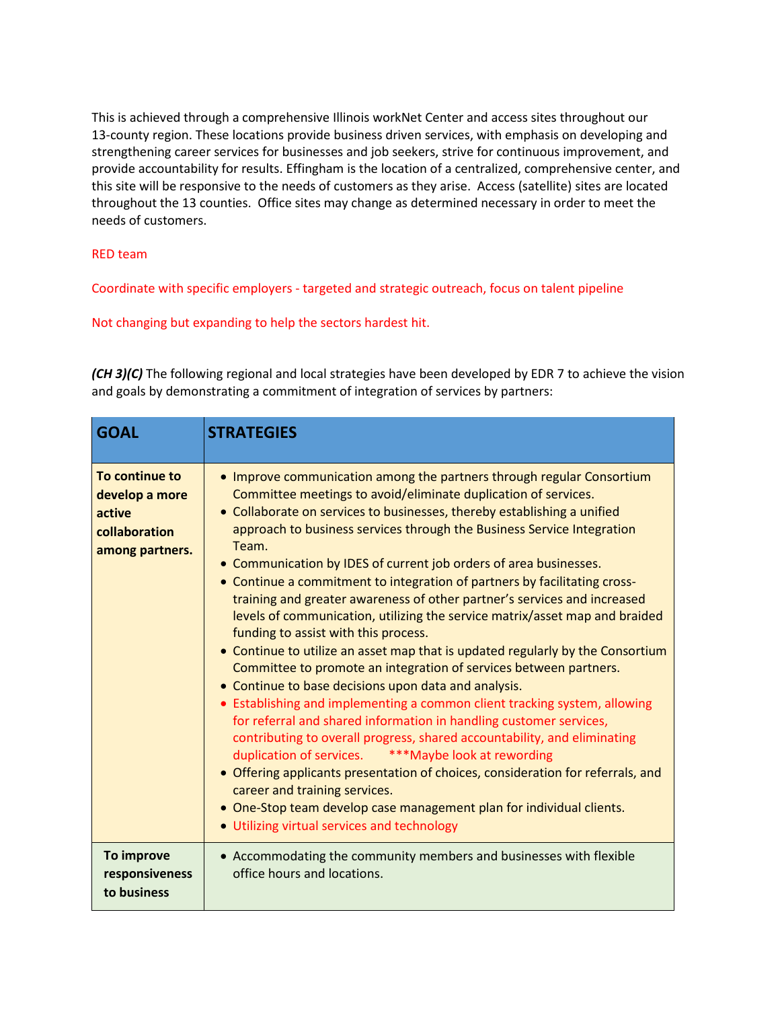This is achieved through a comprehensive Illinois workNet Center and access sites throughout our 13-county region. These locations provide business driven services, with emphasis on developing and strengthening career services for businesses and job seekers, strive for continuous improvement, and provide accountability for results. Effingham is the location of a centralized, comprehensive center, and this site will be responsive to the needs of customers as they arise. Access (satellite) sites are located throughout the 13 counties. Office sites may change as determined necessary in order to meet the needs of customers.

#### RED team

Coordinate with specific employers - targeted and strategic outreach, focus on talent pipeline

Not changing but expanding to help the sectors hardest hit.

*(CH 3)(C)* The following regional and local strategies have been developed by EDR 7 to achieve the vision and goals by demonstrating a commitment of integration of services by partners:

| <b>GOAL</b>                                                                    | <b>STRATEGIES</b>                                                                                                                                                                                                                                                                                                                                                                                                                                                                                                                                                                                                                                                                                                                                                                                                                                                                                                                                                                                                                                                                                                                                                                                                                                                                                                                                                                                           |
|--------------------------------------------------------------------------------|-------------------------------------------------------------------------------------------------------------------------------------------------------------------------------------------------------------------------------------------------------------------------------------------------------------------------------------------------------------------------------------------------------------------------------------------------------------------------------------------------------------------------------------------------------------------------------------------------------------------------------------------------------------------------------------------------------------------------------------------------------------------------------------------------------------------------------------------------------------------------------------------------------------------------------------------------------------------------------------------------------------------------------------------------------------------------------------------------------------------------------------------------------------------------------------------------------------------------------------------------------------------------------------------------------------------------------------------------------------------------------------------------------------|
| To continue to<br>develop a more<br>active<br>collaboration<br>among partners. | • Improve communication among the partners through regular Consortium<br>Committee meetings to avoid/eliminate duplication of services.<br>• Collaborate on services to businesses, thereby establishing a unified<br>approach to business services through the Business Service Integration<br>Team.<br>• Communication by IDES of current job orders of area businesses.<br>• Continue a commitment to integration of partners by facilitating cross-<br>training and greater awareness of other partner's services and increased<br>levels of communication, utilizing the service matrix/asset map and braided<br>funding to assist with this process.<br>• Continue to utilize an asset map that is updated regularly by the Consortium<br>Committee to promote an integration of services between partners.<br>• Continue to base decisions upon data and analysis.<br>• Establishing and implementing a common client tracking system, allowing<br>for referral and shared information in handling customer services,<br>contributing to overall progress, shared accountability, and eliminating<br>duplication of services. *** Maybe look at rewording<br>• Offering applicants presentation of choices, consideration for referrals, and<br>career and training services.<br>• One-Stop team develop case management plan for individual clients.<br>• Utilizing virtual services and technology |
| To improve<br>responsiveness<br>to business                                    | • Accommodating the community members and businesses with flexible<br>office hours and locations.                                                                                                                                                                                                                                                                                                                                                                                                                                                                                                                                                                                                                                                                                                                                                                                                                                                                                                                                                                                                                                                                                                                                                                                                                                                                                                           |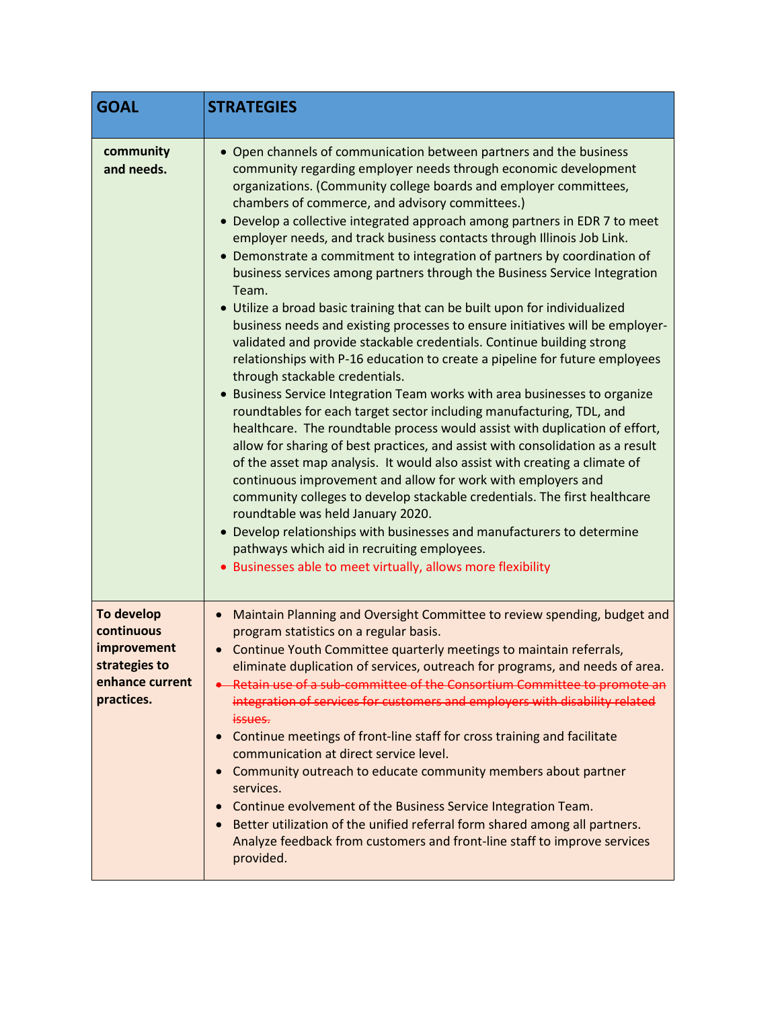| <b>GOAL</b>                                                                               | <b>STRATEGIES</b>                                                                                                                                                                                                                                                                                                                                                                                                                                                                                                                                                                                                                                                                                                                                                                                                                                                                                                                                                                                                                                                                                                                                                                                                                                                                                                                                                                                                                                                                                                                                                                                                                                                                                                                         |
|-------------------------------------------------------------------------------------------|-------------------------------------------------------------------------------------------------------------------------------------------------------------------------------------------------------------------------------------------------------------------------------------------------------------------------------------------------------------------------------------------------------------------------------------------------------------------------------------------------------------------------------------------------------------------------------------------------------------------------------------------------------------------------------------------------------------------------------------------------------------------------------------------------------------------------------------------------------------------------------------------------------------------------------------------------------------------------------------------------------------------------------------------------------------------------------------------------------------------------------------------------------------------------------------------------------------------------------------------------------------------------------------------------------------------------------------------------------------------------------------------------------------------------------------------------------------------------------------------------------------------------------------------------------------------------------------------------------------------------------------------------------------------------------------------------------------------------------------------|
| community<br>and needs.                                                                   | • Open channels of communication between partners and the business<br>community regarding employer needs through economic development<br>organizations. (Community college boards and employer committees,<br>chambers of commerce, and advisory committees.)<br>• Develop a collective integrated approach among partners in EDR 7 to meet<br>employer needs, and track business contacts through Illinois Job Link.<br>Demonstrate a commitment to integration of partners by coordination of<br>$\bullet$<br>business services among partners through the Business Service Integration<br>Team.<br>• Utilize a broad basic training that can be built upon for individualized<br>business needs and existing processes to ensure initiatives will be employer-<br>validated and provide stackable credentials. Continue building strong<br>relationships with P-16 education to create a pipeline for future employees<br>through stackable credentials.<br>Business Service Integration Team works with area businesses to organize<br>roundtables for each target sector including manufacturing, TDL, and<br>healthcare. The roundtable process would assist with duplication of effort,<br>allow for sharing of best practices, and assist with consolidation as a result<br>of the asset map analysis. It would also assist with creating a climate of<br>continuous improvement and allow for work with employers and<br>community colleges to develop stackable credentials. The first healthcare<br>roundtable was held January 2020.<br>• Develop relationships with businesses and manufacturers to determine<br>pathways which aid in recruiting employees.<br>• Businesses able to meet virtually, allows more flexibility |
| To develop<br>continuous<br>improvement<br>strategies to<br>enhance current<br>practices. | Maintain Planning and Oversight Committee to review spending, budget and<br>program statistics on a regular basis.<br>• Continue Youth Committee quarterly meetings to maintain referrals,<br>eliminate duplication of services, outreach for programs, and needs of area.<br>. Retain use of a sub-committee of the Consortium Committee to promote an<br>integration of services for customers and employers with disability related<br>issues.<br>Continue meetings of front-line staff for cross training and facilitate<br>communication at direct service level.<br>Community outreach to educate community members about partner<br>services.<br>Continue evolvement of the Business Service Integration Team.<br>Better utilization of the unified referral form shared among all partners.<br>Analyze feedback from customers and front-line staff to improve services<br>provided.                                                                                                                                                                                                                                                                                                                                                                                                                                                                                                                                                                                                                                                                                                                                                                                                                                              |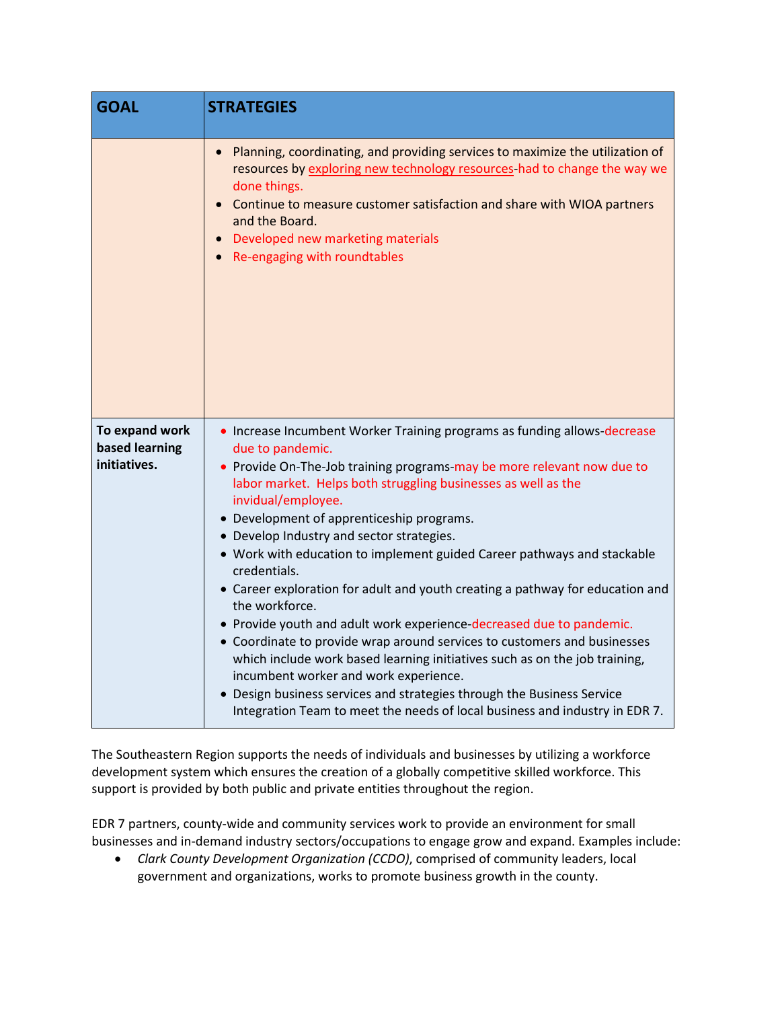| <b>GOAL</b>                                      | <b>STRATEGIES</b>                                                                                                                                                                                                                                                                                                                                                                                                                                                                                                                                                                                                                                                                                                                                                                                                                                                                                                                                                                         |
|--------------------------------------------------|-------------------------------------------------------------------------------------------------------------------------------------------------------------------------------------------------------------------------------------------------------------------------------------------------------------------------------------------------------------------------------------------------------------------------------------------------------------------------------------------------------------------------------------------------------------------------------------------------------------------------------------------------------------------------------------------------------------------------------------------------------------------------------------------------------------------------------------------------------------------------------------------------------------------------------------------------------------------------------------------|
|                                                  | Planning, coordinating, and providing services to maximize the utilization of<br>resources by exploring new technology resources-had to change the way we<br>done things.<br>Continue to measure customer satisfaction and share with WIOA partners<br>and the Board.<br>Developed new marketing materials<br>Re-engaging with roundtables                                                                                                                                                                                                                                                                                                                                                                                                                                                                                                                                                                                                                                                |
| To expand work<br>based learning<br>initiatives. | • Increase Incumbent Worker Training programs as funding allows-decrease<br>due to pandemic.<br>• Provide On-The-Job training programs-may be more relevant now due to<br>labor market. Helps both struggling businesses as well as the<br>invidual/employee.<br>• Development of apprenticeship programs.<br>• Develop Industry and sector strategies.<br>• Work with education to implement guided Career pathways and stackable<br>credentials.<br>• Career exploration for adult and youth creating a pathway for education and<br>the workforce.<br>• Provide youth and adult work experience-decreased due to pandemic.<br>• Coordinate to provide wrap around services to customers and businesses<br>which include work based learning initiatives such as on the job training,<br>incumbent worker and work experience.<br>• Design business services and strategies through the Business Service<br>Integration Team to meet the needs of local business and industry in EDR 7. |

The Southeastern Region supports the needs of individuals and businesses by utilizing a workforce development system which ensures the creation of a globally competitive skilled workforce. This support is provided by both public and private entities throughout the region.

EDR 7 partners, county-wide and community services work to provide an environment for small businesses and in-demand industry sectors/occupations to engage grow and expand. Examples include:

• *Clark County Development Organization (CCDO)*, comprised of community leaders, local government and organizations, works to promote business growth in the county.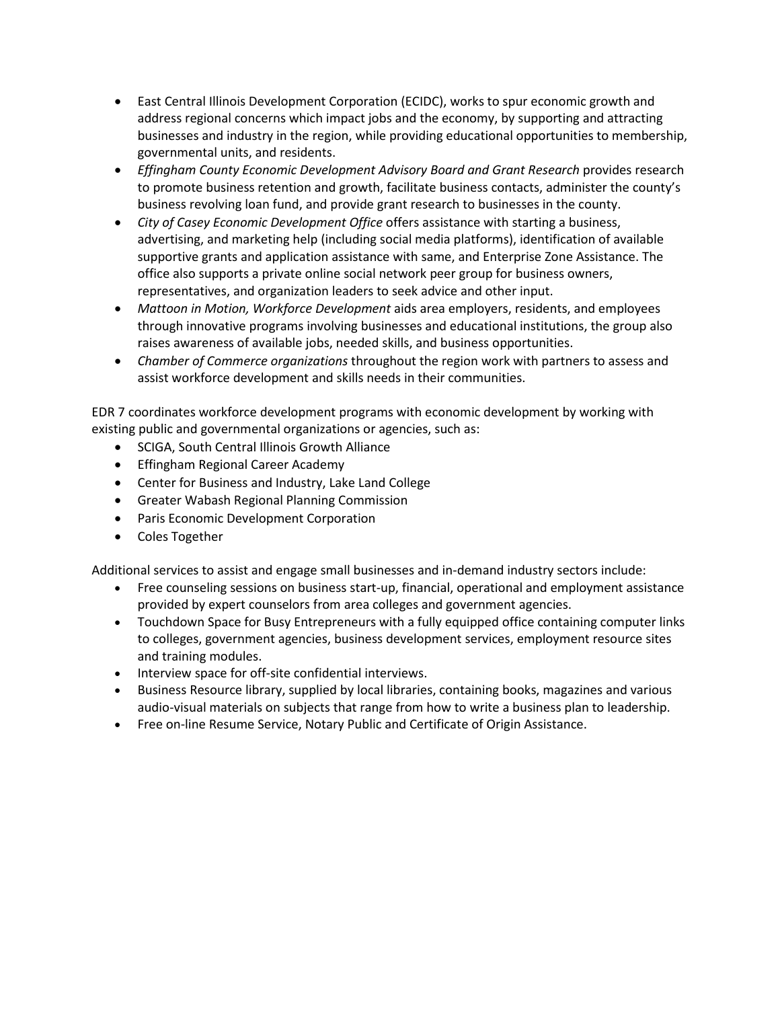- East Central Illinois Development Corporation (ECIDC), works to spur economic growth and address regional concerns which impact jobs and the economy, by supporting and attracting businesses and industry in the region, while providing educational opportunities to membership, governmental units, and residents.
- *Effingham County Economic Development Advisory Board and Grant Research* provides research to promote business retention and growth, facilitate business contacts, administer the county's business revolving loan fund, and provide grant research to businesses in the county.
- *City of Casey Economic Development Office* offers assistance with starting a business, advertising, and marketing help (including social media platforms), identification of available supportive grants and application assistance with same, and Enterprise Zone Assistance. The office also supports a private online social network peer group for business owners, representatives, and organization leaders to seek advice and other input.
- *Mattoon in Motion, Workforce Development* aids area employers, residents, and employees through innovative programs involving businesses and educational institutions, the group also raises awareness of available jobs, needed skills, and business opportunities.
- *Chamber of Commerce organizations* throughout the region work with partners to assess and assist workforce development and skills needs in their communities.

EDR 7 coordinates workforce development programs with economic development by working with existing public and governmental organizations or agencies, such as:

- SCIGA, South Central Illinois Growth Alliance
- Effingham Regional Career Academy
- Center for Business and Industry, Lake Land College
- Greater Wabash Regional Planning Commission
- Paris Economic Development Corporation
- Coles Together

Additional services to assist and engage small businesses and in-demand industry sectors include:

- Free counseling sessions on business start-up, financial, operational and employment assistance provided by expert counselors from area colleges and government agencies.
- Touchdown Space for Busy Entrepreneurs with a fully equipped office containing computer links to colleges, government agencies, business development services, employment resource sites and training modules.
- Interview space for off-site confidential interviews.
- Business Resource library, supplied by local libraries, containing books, magazines and various audio-visual materials on subjects that range from how to write a business plan to leadership.
- Free on-line Resume Service, Notary Public and Certificate of Origin Assistance.